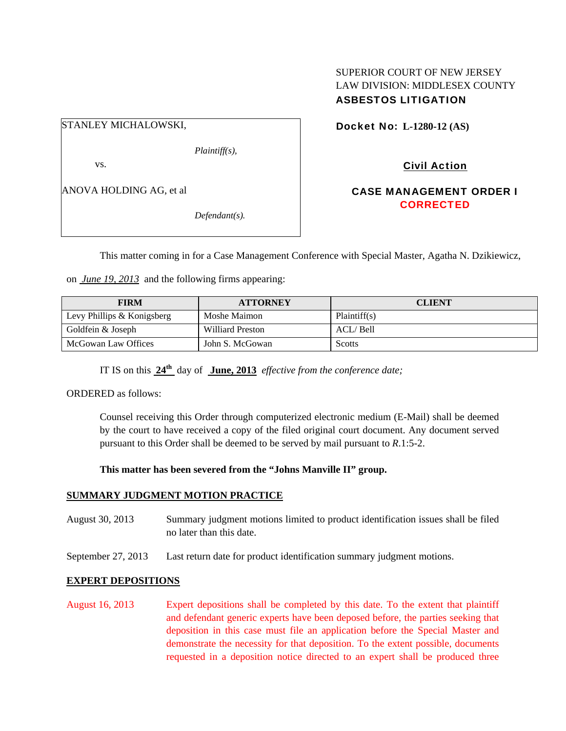## SUPERIOR COURT OF NEW JERSEY LAW DIVISION: MIDDLESEX COUNTY ASBESTOS LITIGATION

# STANLEY MICHALOWSKI,

*Plaintiff(s),* 

vs.

ANOVA HOLDING AG, et al

*Defendant(s).* 

Docket No: **L-1280-12 (AS)** 

# Civil Action

# CASE MANAGEMENT ORDER I **CORRECTED**

This matter coming in for a Case Management Conference with Special Master, Agatha N. Dzikiewicz,

on *June 19, 2013* and the following firms appearing:

| <b>FIRM</b>                | <b>ATTORNEY</b>  | <b>CLIENT</b> |
|----------------------------|------------------|---------------|
| Levy Phillips & Konigsberg | Moshe Maimon     | Plaintiff(s)  |
| Goldfein & Joseph          | Williard Preston | ACL/Bell      |
| McGowan Law Offices        | John S. McGowan  | Scotts        |

IT IS on this **24th** day of **June, 2013** *effective from the conference date;*

ORDERED as follows:

Counsel receiving this Order through computerized electronic medium (E-Mail) shall be deemed by the court to have received a copy of the filed original court document. Any document served pursuant to this Order shall be deemed to be served by mail pursuant to *R*.1:5-2.

### **This matter has been severed from the "Johns Manville II" group.**

### **SUMMARY JUDGMENT MOTION PRACTICE**

- August 30, 2013 Summary judgment motions limited to product identification issues shall be filed no later than this date.
- September 27, 2013 Last return date for product identification summary judgment motions.

#### **EXPERT DEPOSITIONS**

August 16, 2013 Expert depositions shall be completed by this date. To the extent that plaintiff and defendant generic experts have been deposed before, the parties seeking that deposition in this case must file an application before the Special Master and demonstrate the necessity for that deposition. To the extent possible, documents requested in a deposition notice directed to an expert shall be produced three